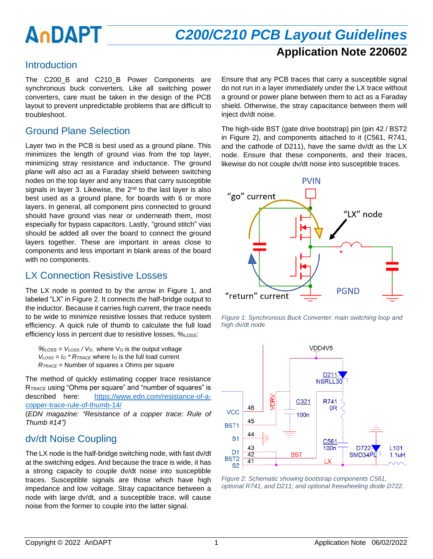# *C200/C210 PCB Layout Guidelines* **Application Note 220602**

### Introduction

The C200 B and C210 B Power Components are synchronous buck converters. Like all switching power converters, care must be taken in the design of the PCB layout to prevent unpredictable problems that are difficult to troubleshoot.

# Ground Plane Selection

Layer two in the PCB is best used as a ground plane. This minimizes the length of ground vias from the top layer, minimizing stray resistance and inductance. The ground plane will also act as a Faraday shield between switching nodes on the top layer and any traces that carry susceptible signals in layer 3. Likewise, the  $2<sup>nd</sup>$  to the last layer is also best used as a ground plane, for boards with 6 or more layers. In general, all component pins connected to ground should have ground vias near or underneath them, most especially for bypass capacitors. Lastly, "ground stitch" vias should be added all over the board to connect the ground layers together. These are important in areas close to components and less important in blank areas of the board with no components.

## LX Connection Resistive Losses

The LX node is pointed to by the arrow in [Figure 1,](#page-0-0) and labeled "LX" in [Figure 2.](#page-0-1) It connects the half-bridge output to the inductor. Because it carries high current, the trace needs to be wide to minimize resistive losses that reduce system efficiency. A quick rule of thumb to calculate the full load efficiency loss in percent due to resistive losses, %Loss:

*%LOSS = VLOSS / V<sup>O</sup>*, where V<sup>O</sup> is the output voltage  $V_{LOSS} = I_0 * R_{TRACE}$  where  $I_0$  is the full load current *RTRACE* = Number of squares x Ohms per square

The method of quickly estimating copper trace resistance RTRACE using "Ohms per square" and "number of squares" is described here: [https://www.edn.com/resistance-of-a](https://www.edn.com/resistance-of-a-copper-trace-rule-of-thumb-14/)[copper-trace-rule-of-thumb-14/](https://www.edn.com/resistance-of-a-copper-trace-rule-of-thumb-14/) 

(*EDN magazine: "Resistance of a copper trace: Rule of Thumb #14")*

# dv/dt Noise Coupling

The LX node is the half-bridge switching node, with fast dv/dt at the switching edges. And because the trace is wide, it has a strong capacity to couple dv/dt noise into susceptible traces. Susceptible signals are those which have high impedance and low voltage. Stray capacitance between a node with large dv/dt, and a susceptible trace, will cause noise from the former to couple into the latter signal.

Ensure that any PCB traces that carry a susceptible signal do not run in a layer immediately under the LX trace without a ground or power plane between them to act as a Faraday shield. Otherwise, the stray capacitance between them will inject dv/dt noise.

The high-side BST (gate drive bootstrap) pin (pin 42 / BST2 in [Figure 2\)](#page-0-1), and components attached to it (C561, R741, and the cathode of D211), have the same dv/dt as the LX node. Ensure that these components, and their traces, likewise do not couple dv/dt noise into susceptible traces.



<span id="page-0-0"></span>*Figure 1: Synchronous Buck Converter: main switching loop and high dv/dt node*



<span id="page-0-1"></span>*Figure 2: Schematic showing bootstrap components C561, optional R741, and D211; and optional freewheeling diode D722.*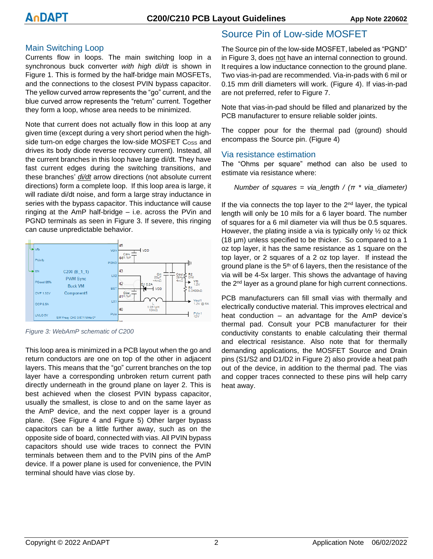#### Main Switching Loop

Currents flow in loops. The main switching loop in a synchronous buck converter *with high di/dt* is shown in [Figure 1.](#page-0-0) This is formed by the half-bridge main MOSFETs, and the connections to the closest PVIN bypass capacitor. The yellow curved arrow represents the "go" current, and the blue curved arrow represents the "return" current. Together they form a loop, whose area needs to be minimized.

Note that current does not actually flow in this loop at any given time (except during a very short period when the highside turn-on edge charges the low-side MOSFET Coss and drives its body diode reverse recovery current). Instead, all the current branches in this loop have large di/dt. They have fast current edges during the switching transitions, and these branches' *di/dt* arrow directions (not absolute current directions) form a complete loop. If this loop area is large, it will radiate di/dt noise, and form a large stray inductance in series with the bypass capacitor. This inductance will cause ringing at the AmP half-bridge – i.e. across the PVin and PGND terminals as seen in [Figure 3.](#page-1-0) If severe, this ringing can cause unpredictable behavior.



<span id="page-1-0"></span>*Figure 3: WebAmP schematic of C200*

This loop area is minimized in a PCB layout when the go and return conductors are one on top of the other in adjacent layers. This means that the "go" current branches on the top layer have a corresponding unbroken return current path directly underneath in the ground plane on layer 2. This is best achieved when the closest PVIN bypass capacitor, usually the smallest, is close to and on the same layer as the AmP device, and the next copper layer is a ground plane. (See [Figure 4](#page-2-0) and [Figure 5\)](#page-2-1) Other larger bypass capacitors can be a little further away, such as on the opposite side of board, connected with vias. All PVIN bypass capacitors should use wide traces to connect the PVIN terminals between them and to the PVIN pins of the AmP device. If a power plane is used for convenience, the PVIN terminal should have vias close by.

### Source Pin of Low-side MOSFET

The Source pin of the low-side MOSFET, labeled as "PGND" in [Figure 3,](#page-1-0) does not have an internal connection to ground. It requires a low inductance connection to the ground plane. Two vias-in-pad are recommended. Via-in-pads with 6 mil or 0.15 mm drill diameters will work. [\(Figure 4\)](#page-2-0). If vias-in-pad are not preferred, refer to [Figure 7.](#page-2-2)

Note that vias-in-pad should be filled and planarized by the PCB manufacturer to ensure reliable solder joints.

The copper pour for the thermal pad (ground) should encompass the Source pin. [\(Figure 4\)](#page-2-0)

#### Via resistance estimation

The "Ohms per square" method can also be used to estimate via resistance where:

Number of squares = via\_length / 
$$
(\pi * via_diameter)
$$

If the via connects the top layer to the 2<sup>nd</sup> layer, the typical length will only be 10 mils for a 6 layer board. The number of squares for a 6 mil diameter via will thus be 0.5 squares. However, the plating inside a via is typically only  $\frac{1}{2}$  oz thick (18 µm) unless specified to be thicker. So compared to a 1 oz top layer, it has the same resistance as 1 square on the top layer, or 2 squares of a 2 oz top layer. If instead the ground plane is the  $5<sup>th</sup>$  of 6 layers, then the resistance of the via will be 4-5x larger. This shows the advantage of having the 2<sup>nd</sup> layer as a ground plane for high current connections.

PCB manufacturers can fill small vias with thermally and electrically conductive material. This improves electrical and heat conduction – an advantage for the AmP device's thermal pad. Consult your PCB manufacturer for their conductivity constants to enable calculating their thermal and electrical resistance. Also note that for thermally demanding applications, the MOSFET Source and Drain pins (S1/S2 and D1/D2 in [Figure 2\)](#page-0-1) also provide a heat path out of the device, in addition to the thermal pad. The vias and copper traces connected to these pins will help carry heat away.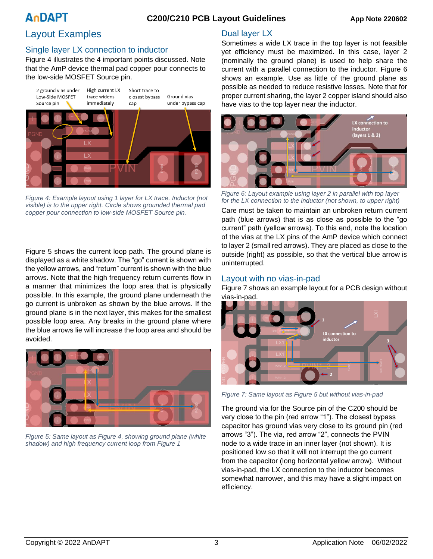#### **C200/C210 PCB Layout Guidelines App Note 220602**

## Layout Examples

#### Single layer LX connection to inductor

[Figure 4](#page-2-0) illustrates the 4 important points discussed. Note that the AmP device thermal pad copper pour connects to the low-side MOSFET Source pin.



<span id="page-2-0"></span>*Figure 4: Example layout using 1 layer for LX trace. Inductor (not visible) is to the upper right. Circle shows grounded thermal pad copper pour connection to low-side MOSFET Source pin.*

[Figure 5](#page-2-1) shows the current loop path. The ground plane is displayed as a white shadow. The "go" current is shown with the yellow arrows, and "return" current is shown with the blue arrows. Note that the high frequency return currents flow in a manner that minimizes the loop area that is physically possible. In this example, the ground plane underneath the go current is unbroken as shown by the blue arrows. If the ground plane is in the next layer, this makes for the smallest possible loop area. Any breaks in the ground plane where the blue arrows lie will increase the loop area and should be avoided.

<span id="page-2-1"></span>

*Figure 5: Same layout a[s Figure 4,](#page-2-0) showing ground plane (white shadow) and high frequency current loop from [Figure 1](#page-0-0)*

#### Dual layer LX

Sometimes a wide LX trace in the top layer is not feasible yet efficiency must be maximized. In this case, layer 2 (nominally the ground plane) is used to help share the current with a parallel connection to the inductor. [Figure 6](#page-2-3) shows an example. Use as little of the ground plane as possible as needed to reduce resistive losses. Note that for proper current sharing, the layer 2 copper island should also have vias to the top layer near the inductor.



*Figure 6: Layout example using layer 2 in parallel with top layer for the LX connection to the inductor (not shown, to upper right)*

<span id="page-2-3"></span>Care must be taken to maintain an unbroken return current path (blue arrows) that is as close as possible to the "go current" path (yellow arrows). To this end, note the location of the vias at the LX pins of the AmP device which connect to layer 2 (small red arrows). They are placed as close to the outside (right) as possible, so that the vertical blue arrow is uninterrupted.

#### Layout with no vias-in-pad

[Figure 7](#page-2-2) shows an example layout for a PCB design without vias-in-pad.



*Figure 7: Same layout as [Figure 5](#page-2-1) but without vias-in-pad*

<span id="page-2-2"></span>The ground via for the Source pin of the C200 should be very close to the pin (red arrow "1"). The closest bypass capacitor has ground vias very close to its ground pin (red arrows "3"). The via, red arrow "2", connects the PVIN node to a wide trace in an inner layer (not shown). It is positioned low so that it will not interrupt the go current from the capacitor (long horizontal yellow arrow). Without vias-in-pad, the LX connection to the inductor becomes somewhat narrower, and this may have a slight impact on efficiency.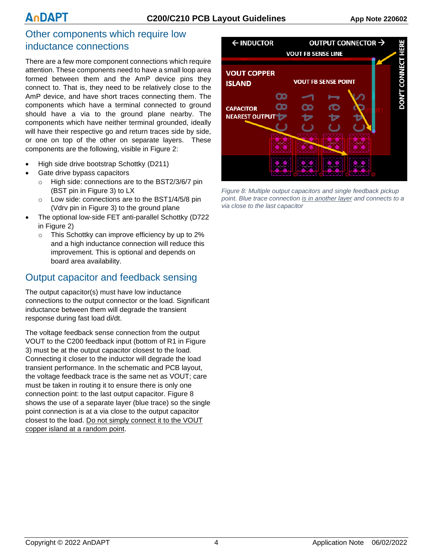### Other components which require low inductance connections

There are a few more component connections which require attention. These components need to have a small loop area formed between them and the AmP device pins they connect to. That is, they need to be relatively close to the AmP device, and have short traces connecting them. The components which have a terminal connected to ground should have a via to the ground plane nearby. The components which have neither terminal grounded, ideally will have their respective go and return traces side by side, or one on top of the other on separate layers. These components are the following, visible in [Figure 2:](#page-0-1)

- High side drive bootstrap Schottky (D211)
- Gate drive bypass capacitors
	- o High side: connections are to the BST2/3/6/7 pin (BST pin in [Figure 3\)](#page-1-0) to LX
	- o Low side: connections are to the BST1/4/5/8 pin (Vdrv pin in [Figure 3\)](#page-1-0) to the ground plane
- The optional low-side FET anti-parallel Schottky (D722 in [Figure 2\)](#page-0-1)
	- o This Schottky can improve efficiency by up to 2% and a high inductance connection will reduce this improvement. This is optional and depends on board area availability.

# Output capacitor and feedback sensing

The output capacitor(s) must have low inductance connections to the output connector or the load. Significant inductance between them will degrade the transient response during fast load di/dt.

The voltage feedback sense connection from the output VOUT to the C200 feedback input (bottom of R1 in [Figure](#page-1-0)  [3\)](#page-1-0) must be at the output capacitor closest to the load. Connecting it closer to the inductor will degrade the load transient performance. In the schematic and PCB layout, the voltage feedback trace is the same net as VOUT; care must be taken in routing it to ensure there is only one connection point: to the last output capacitor. [Figure 8](#page-3-0) shows the use of a separate layer (blue trace) so the single point connection is at a via close to the output capacitor closest to the load. Do not simply connect it to the VOUT copper island at a random point.



<span id="page-3-0"></span>*Figure 8: Multiple output capacitors and single feedback pickup point. Blue trace connection is in another layer and connects to a via close to the last capacitor*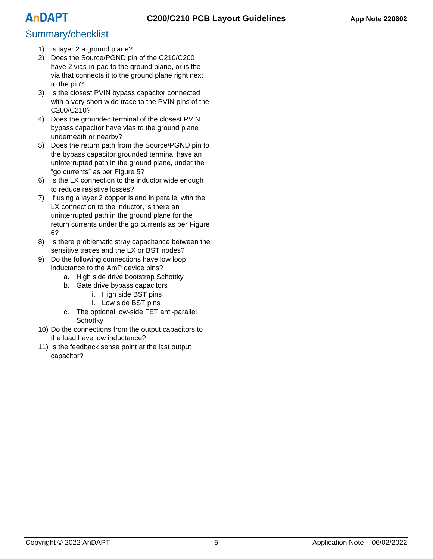# Summary/checklist

- 1) Is layer 2 a ground plane?
- 2) Does the Source/PGND pin of the C210/C200 have 2 vias-in-pad to the ground plane, or is the via that connects it to the ground plane right next to the pin?
- 3) Is the closest PVIN bypass capacitor connected with a very short wide trace to the PVIN pins of the C200/C210?
- 4) Does the grounded terminal of the closest PVIN bypass capacitor have vias to the ground plane underneath or nearby?
- 5) Does the return path from the Source/PGND pin to the bypass capacitor grounded terminal have an uninterrupted path in the ground plane, under the "go currents" as per [Figure 5?](#page-2-1)
- 6) Is the LX connection to the inductor wide enough to reduce resistive losses?
- 7) If using a layer 2 copper island in parallel with the LX connection to the inductor, is there an uninterrupted path in the ground plane for the return currents under the go currents as per [Figure](#page-2-3)  [6?](#page-2-3)
- 8) Is there problematic stray capacitance between the sensitive traces and the LX or BST nodes?
- 9) Do the following connections have low loop inductance to the AmP device pins?
	- a. High side drive bootstrap Schottky
	- b. Gate drive bypass capacitors
		- i. High side BST pins
		- ii. Low side BST pins
	- c. The optional low-side FET anti-parallel **Schottky**
- 10) Do the connections from the output capacitors to the load have low inductance?
- 11) Is the feedback sense point at the last output capacitor?